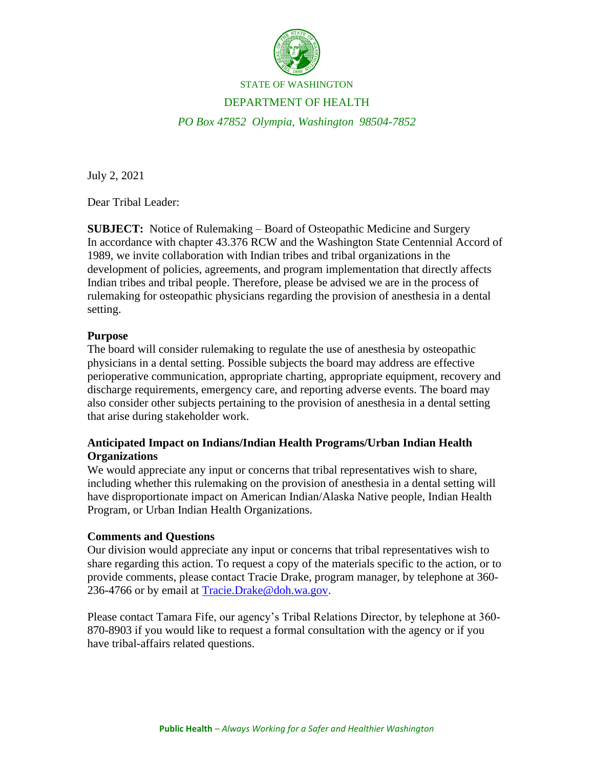

#### STATE OF WASHINGTON

### DEPARTMENT OF HEALTH

*PO Box 47852 Olympia, Washington 98504-7852*

July 2, 2021

Dear Tribal Leader:

**SUBJECT:** Notice of Rulemaking – Board of Osteopathic Medicine and Surgery In accordance with chapter 43.376 RCW and the Washington State Centennial Accord of 1989, we invite collaboration with Indian tribes and tribal organizations in the development of policies, agreements, and program implementation that directly affects Indian tribes and tribal people. Therefore, please be advised we are in the process of rulemaking for osteopathic physicians regarding the provision of anesthesia in a dental setting.

#### **Purpose**

The board will consider rulemaking to regulate the use of anesthesia by osteopathic physicians in a dental setting. Possible subjects the board may address are effective perioperative communication, appropriate charting, appropriate equipment, recovery and discharge requirements, emergency care, and reporting adverse events. The board may also consider other subjects pertaining to the provision of anesthesia in a dental setting that arise during stakeholder work.

# **Anticipated Impact on Indians/Indian Health Programs/Urban Indian Health Organizations**

We would appreciate any input or concerns that tribal representatives wish to share, including whether this rulemaking on the provision of anesthesia in a dental setting will have disproportionate impact on American Indian/Alaska Native people, Indian Health Program, or Urban Indian Health Organizations.

## **Comments and Questions**

Our division would appreciate any input or concerns that tribal representatives wish to share regarding this action. To request a copy of the materials specific to the action, or to provide comments, please contact Tracie Drake, program manager, by telephone at 360- 236-4766 or by email at [Tracie.Drake@doh.wa.gov.](mailto:Tracie.Drake@doh.wa.gov)

Please contact Tamara Fife, our agency's Tribal Relations Director, by telephone at 360- 870-8903 if you would like to request a formal consultation with the agency or if you have tribal-affairs related questions.